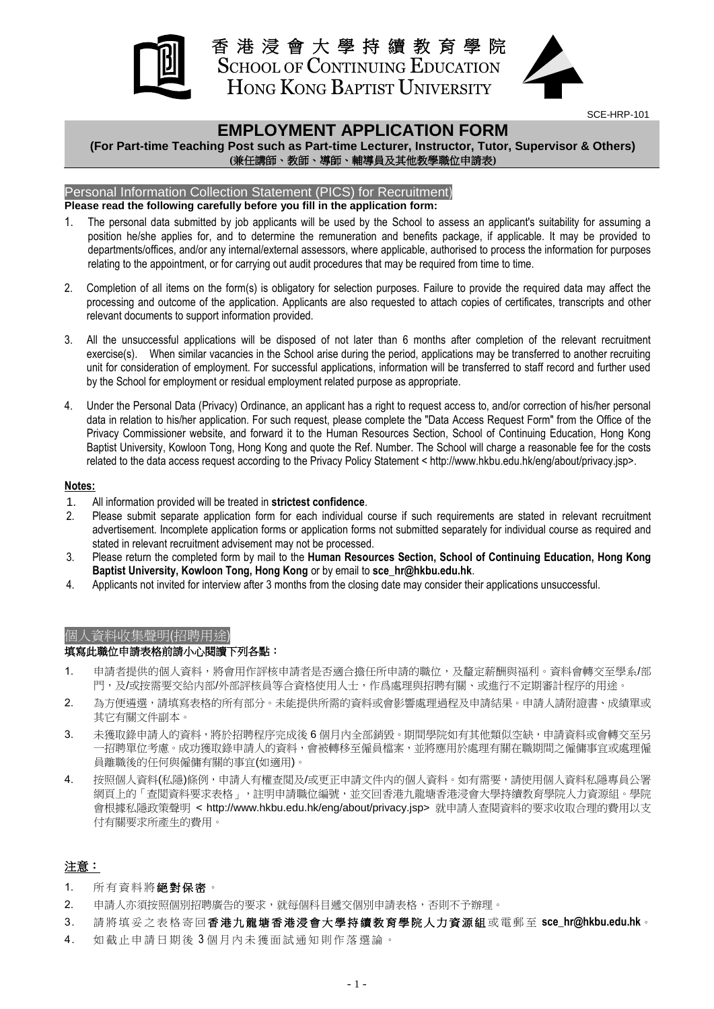

香 港 浸 會 大 學 持 續 教 育 學 院 SCHOOL OF CONTINUING EDUCATION HONG KONG BAPTIST UNIVERSITY



SCE-HRP-101

## **EMPLOYMENT APPLICATION FORM**

**(For Part-time Teaching Post such as Part-time Lecturer, Instructor, Tutor, Supervisor & Others) (**兼任講師、教師、導師、輔導員及其他教學職位申請表**)**

### Personal Information Collection Statement (PICS) for Recruitment)

#### **Please read the following carefully before you fill in the application form:**

- 1. The personal data submitted by job applicants will be used by the School to assess an applicant's suitability for assuming a position he/she applies for, and to determine the remuneration and benefits package, if applicable. It may be provided to departments/offices, and/or any internal/external assessors, where applicable, authorised to process the information for purposes relating to the appointment, or for carrying out audit procedures that may be required from time to time.
- 2. Completion of all items on the form(s) is obligatory for selection purposes. Failure to provide the required data may affect the processing and outcome of the application. Applicants are also requested to attach copies of certificates, transcripts and other relevant documents to support information provided.
- 3. All the unsuccessful applications will be disposed of not later than 6 months after completion of the relevant recruitment exercise(s). When similar vacancies in the School arise during the period, applications may be transferred to another recruiting unit for consideration of employment. For successful applications, information will be transferred to staff record and further used by the School for employment or residual employment related purpose as appropriate.
- 4. Under the Personal Data (Privacy) Ordinance, an applicant has a right to request access to, and/or correction of his/her personal data in relation to his/her application. For such request, please complete the "Data Access Request Form" from the Office of the Privacy Commissioner website, and forward it to the Human Resources Section, School of Continuing Education, Hong Kong Baptist University, Kowloon Tong, Hong Kong and quote the Ref. Number. The School will charge a reasonable fee for the costs related to the data access request according to the Privacy Policy Statement < http://www.hkbu.edu.hk/eng/about/privacy.jsp>.

#### **Notes:**

- 1. All information provided will be treated in **strictest confidence**.
- 2. Please submit separate application form for each individual course if such requirements are stated in relevant recruitment advertisement. Incomplete application forms or application forms not submitted separately for individual course as required and stated in relevant recruitment advisement may not be processed.
- 3. Please return the completed form by mail to the **Human Resources Section, School of Continuing Education, Hong Kong Baptist University, Kowloon Tong, Hong Kong** or by email to **sce\_hr@hkbu.edu.hk**.
- 4. Applicants not invited for interview after 3 months from the closing date may consider their applications unsuccessful.

### 個人資料收集聲明(招聘用途)

#### 填寫此職位申請表格前請小心閱讀下列各點:

- 1. 申請者提供的個人資料,將會用作評核申請者是否適合擔任所申請的職位,及釐定薪酬與福利。資料會轉交至學系/部 門,及/或按需要交給内部/外部評核員等合資格使用人士,作爲處理與招聘有關、或進行不定期審計程序的用途。
- 2. 為方便遴選,請填寫表格的所有部分。未能提供所需的資料或會影響處理過程及申請結果。申請人請附證書、成績單或 其它有關文件副本。
- 3. 未獲取錄申請人的資料,將於招聘程序完成後6個月內全部銷毀。期間學院如有其他類似空缺,申請資料或會轉交至另 一招聘單位考慮。成功獲取錄申請人的資料,會被轉移至僱員檔案,並將應用於處理有關在職期間之僱傭事宜或處理僱 員離職後的任何與僱傭有關的事宜(如適用)。
- 4. 按照個人資料(私隱)條例,申請人有權查閲及/或更正申請文件内的個人資料。如有需要,請使用個人資料私隱專員公署 網頁上的「查閲資料要求表格」,註明申請職位編號,並交回香港九龍塘香港浸會大學持續教育學院人力資源組。學院 會根據私隱政策聲明 < http://www.hkbu.edu.hk/eng/about/privacy.jsp> 就申請人查閱資料的要求收取合理的費用以支 付有關要求所產生的費用。

### 注意:

- 1. 所有資料將絕對保密。
- 2. 申請人亦須按照個別招聘廣告的要求,就每個科目遞交個別申請表格,否則不予辦理。
- 3. 請 將 填 妥 之 表 格 寄 回 香 港 九 龍 塘 香 港 浸 會 大 學 持 續 教 育 學 院 人 力 資 源 組 或 電郵 至 **sce\_hr@hkbu.edu.hk**。
- 4. 如截止申請日期後3個月內未獲面試通知則作落選論。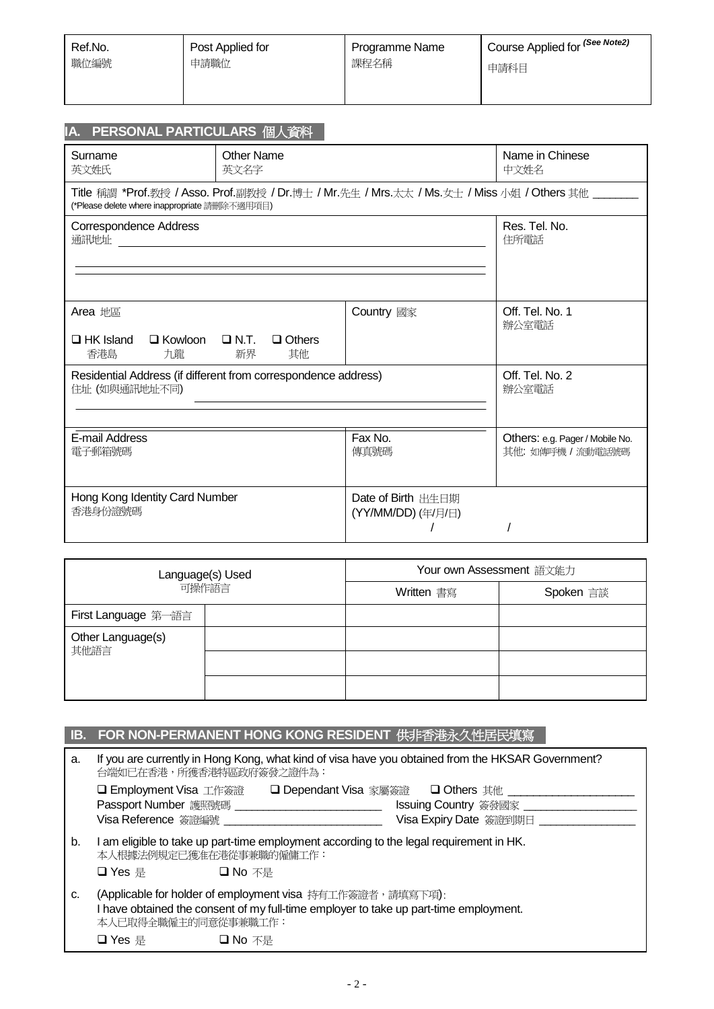| Ref.No. | Post Applied for | Programme Name | <sup>I</sup> Course Applied for <sup>(See Note2)</sup> |
|---------|------------------|----------------|--------------------------------------------------------|
| 職位編號    | 申請職位             | 課程名稱           | 申請科目                                                   |
|         |                  |                |                                                        |

| IA. PERSONAL PARTICULARS 個人資料                                  |                                                                                            |                                                                             |                                 |  |  |  |  |
|----------------------------------------------------------------|--------------------------------------------------------------------------------------------|-----------------------------------------------------------------------------|---------------------------------|--|--|--|--|
| Surname                                                        | <b>Other Name</b>                                                                          |                                                                             | Name in Chinese                 |  |  |  |  |
| 英文姓氏                                                           | 英文名字                                                                                       |                                                                             | 中文姓名                            |  |  |  |  |
| (*Please delete where inappropriate 請刪除不適用項目)                  |                                                                                            | Title 稱謂 *Prof.教授/Asso. Prof.副教授/Dr.博士/Mr.先生/Mrs.太太/Ms.女士/Miss 小姐/Others 其他 |                                 |  |  |  |  |
| Correspondence Address                                         | Res. Tel. No.                                                                              |                                                                             |                                 |  |  |  |  |
|                                                                | 住所電話                                                                                       |                                                                             |                                 |  |  |  |  |
| Area 地區<br>香港島<br>九龍                                           | <b>Country</b> 國家<br>$\Box$ HK Island $\Box$ Kowloon $\Box$ N.T. $\Box$ Others<br>新界<br>其他 |                                                                             |                                 |  |  |  |  |
| Residential Address (if different from correspondence address) | Off. Tel. No. 2                                                                            |                                                                             |                                 |  |  |  |  |
| 住址 (如與通訊地址不同)                                                  | 辦公室電話                                                                                      |                                                                             |                                 |  |  |  |  |
| E-mail Address                                                 |                                                                                            | Fax No.                                                                     | Others: e.g. Pager / Mobile No. |  |  |  |  |
| 電子郵箱號碼                                                         |                                                                                            | 傳真號碼                                                                        | 其他: 如傳呼機 / 流動電話號碼               |  |  |  |  |
| Hong Kong Identity Card Number<br>香港身份證號碼                      |                                                                                            | Date of Birth 出生日期<br>(YY/MM/DD) (年/月/日)                                    |                                 |  |  |  |  |

| Language(s) Used<br>可操作語言 |  | Your own Assessment 語文能力 |           |  |  |
|---------------------------|--|--------------------------|-----------|--|--|
|                           |  | Written 書寫               | Spoken 言談 |  |  |
| First Language 第一語言       |  |                          |           |  |  |
| Other Language(s)<br>其他語言 |  |                          |           |  |  |
|                           |  |                          |           |  |  |
|                           |  |                          |           |  |  |

|    | IB. FOR NON-PERMANENT HONG KONG RESIDENT 供非香港永久性居民填寫                                                                                                                      |                        |  |  |  |  |  |
|----|---------------------------------------------------------------------------------------------------------------------------------------------------------------------------|------------------------|--|--|--|--|--|
| a. | If you are currently in Hong Kong, what kind of visa have you obtained from the HKSAR Government?<br>台端如已在香港,所獲香港特區政府簽發之證件為:                                              |                        |  |  |  |  |  |
|    | □ Employment Visa 工作簽證   □ Dependant Visa 家屬簽證   □ Others 其他 ______                                                                                                       |                        |  |  |  |  |  |
|    | Passport Number 護照號碼 ____________________________                                                                                                                         | Issuing Country 簽發國家   |  |  |  |  |  |
|    | Visa Reference 簽證編號 ___________________________________                                                                                                                   | Visa Expiry Date 簽證到期日 |  |  |  |  |  |
| b. | I am eligible to take up part-time employment according to the legal requirement in HK.<br>本人根據法例規定已獲准在港從事兼職的僱傭工作:                                                        |                        |  |  |  |  |  |
|    | $\Box$ Yes 是<br>□ No 不是                                                                                                                                                   |                        |  |  |  |  |  |
| c. | (Applicable for holder of employment visa 持有工作簽證者,請填寫下項):<br>I have obtained the consent of my full-time employer to take up part-time employment.<br>本人已取得全職僱主的同意從事兼職工作: |                        |  |  |  |  |  |
|    | $\Box$ Yes 是<br>□ No 不是                                                                                                                                                   |                        |  |  |  |  |  |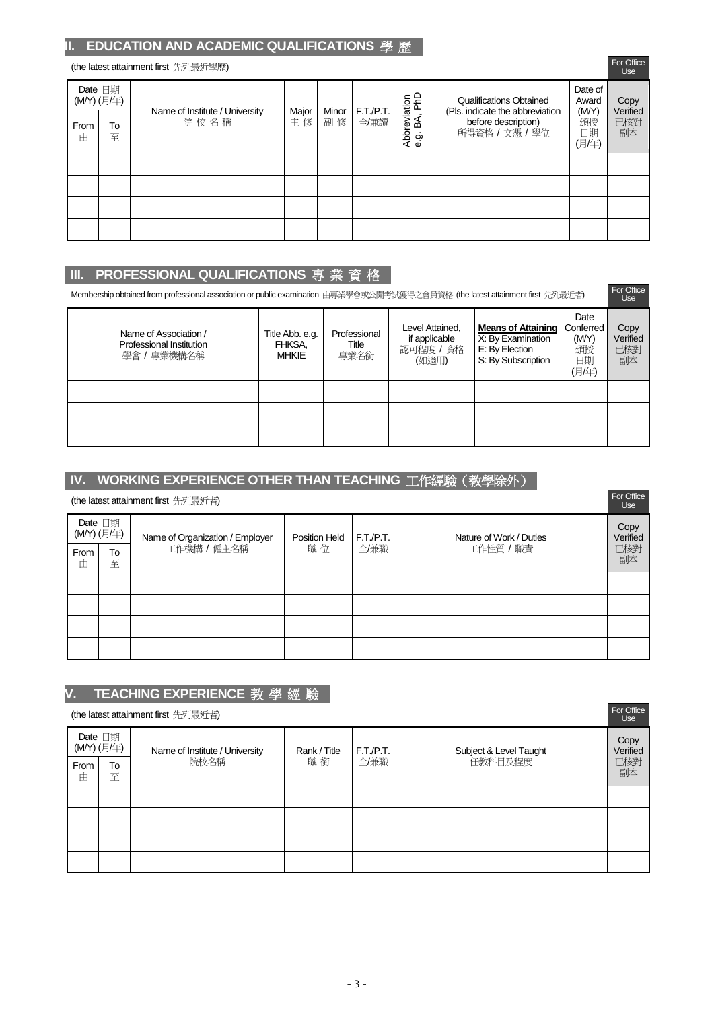## **II. EDUCATION AND ACADEMIC QUALIFICATIONS** 學 歷

#### (the latest attainment first 先列最近學歷)

| $\mu$ ic ialcsi aliaihingin insi $\tau$ ey jax $\chi$ l $\rightarrow$ i $\mu$ ) |                       |                                        |             |             |                   |                                      |                                                                          | <b>Use</b>                 |                       |
|---------------------------------------------------------------------------------|-----------------------|----------------------------------------|-------------|-------------|-------------------|--------------------------------------|--------------------------------------------------------------------------|----------------------------|-----------------------|
|                                                                                 | Date 日期<br>(MY) (月/年) |                                        |             |             |                   |                                      | Qualifications Obtained                                                  | Date of<br>Award           | Copy                  |
| From<br>由                                                                       | To<br>至               | Name of Institute / University<br>院校名稱 | Major<br>主修 | Minor<br>副修 | F.T./P.T.<br>全/兼讀 | Abbreviation<br>e.g. BA, PhD<br>e 9. | (Pls. indicate the abbreviation<br>before description)<br>所得資格 / 文憑 / 學位 | (M/Y)<br>頒授<br>日期<br>(月/年) | Verified<br>已核對<br>副本 |
|                                                                                 |                       |                                        |             |             |                   |                                      |                                                                          |                            |                       |
|                                                                                 |                       |                                        |             |             |                   |                                      |                                                                          |                            |                       |
|                                                                                 |                       |                                        |             |             |                   |                                      |                                                                          |                            |                       |
|                                                                                 |                       |                                        |             |             |                   |                                      |                                                                          |                            |                       |

For Office

## **III. PROFESSIONAL QUALIFICATIONS** 專 業 資 格

| Membership obtained from professional association or public examination 由專業學會或公開考試獲得之會員資格 (the latest attainment first 先列最近者) |                                           |                               |                                                      |                                                                                        |                                                 |                               |  |
|-------------------------------------------------------------------------------------------------------------------------------|-------------------------------------------|-------------------------------|------------------------------------------------------|----------------------------------------------------------------------------------------|-------------------------------------------------|-------------------------------|--|
| Name of Association /<br>Professional Institution<br>學會/專業機構名稱                                                                | Title Abb. e.g.<br>FHKSA,<br><b>MHKIE</b> | Professional<br>Title<br>專業名銜 | Level Attained.<br>if applicable<br>認可程度/資格<br>(如適用) | <b>Means of Attaining</b><br>X: By Examination<br>E: By Election<br>S: By Subscription | Date<br>Conferred<br>(M/Y)<br>頒授<br>日期<br>(月/年) | Copy<br>Verified<br>已核對<br>副本 |  |
|                                                                                                                               |                                           |                               |                                                      |                                                                                        |                                                 |                               |  |
|                                                                                                                               |                                           |                               |                                                      |                                                                                        |                                                 |                               |  |
|                                                                                                                               |                                           |                               |                                                      |                                                                                        |                                                 |                               |  |

## **IV. WORKING EXPERIENCE OTHER THAN TEACHING** 工作經驗(教學除外)

|                       | For Office<br>(the latest attainment first 先列最近者) |                                 |               |           |                         |                  |  |
|-----------------------|---------------------------------------------------|---------------------------------|---------------|-----------|-------------------------|------------------|--|
| Date 日期<br>(MY) (月/年) |                                                   | Name of Organization / Employer | Position Held | F.T./P.T. | Nature of Work / Duties | Copy<br>Verified |  |
| From<br>由             | To<br>至                                           | 工作機構 / 僱主名稱                     | 職位            | 全/兼職      | 工作性質 / 職責               | 已核對<br>副本        |  |
|                       |                                                   |                                 |               |           |                         |                  |  |
|                       |                                                   |                                 |               |           |                         |                  |  |
|                       |                                                   |                                 |               |           |                         |                  |  |
|                       |                                                   |                                 |               |           |                         |                  |  |

# **V. TEACHING EXPERIENCE** 教 學 經 驗

|                       | For Office<br>(the latest attainment first 先列最近者) |                                |              |          |                        |                  |  |
|-----------------------|---------------------------------------------------|--------------------------------|--------------|----------|------------------------|------------------|--|
| Date 日期<br>(MY) (月/年) |                                                   | Name of Institute / University | Rank / Title | F.T.P.T. | Subject & Level Taught | Copy<br>Verified |  |
| From<br>由             | To<br>至                                           | 院校名稱                           | 職銜           | 全/兼職     | 任教科目及程度                | 已核對<br>副本        |  |
|                       |                                                   |                                |              |          |                        |                  |  |
|                       |                                                   |                                |              |          |                        |                  |  |
|                       |                                                   |                                |              |          |                        |                  |  |
|                       |                                                   |                                |              |          |                        |                  |  |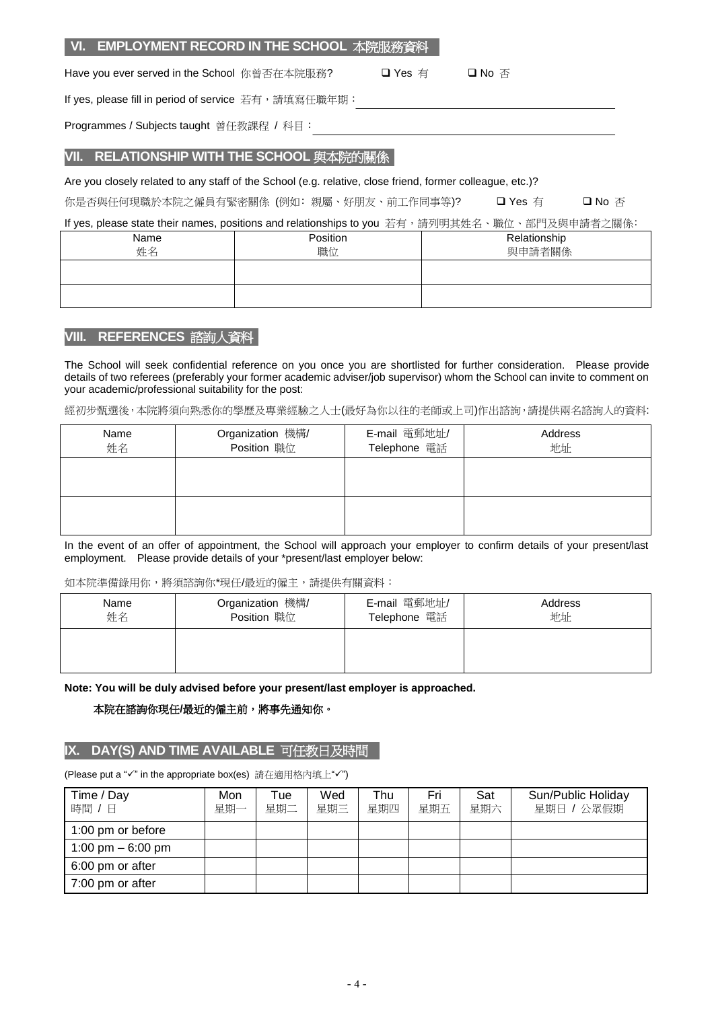|                                                                                               | VI. CIVIPLOTIVIENT RECORD IN THE SCHOOL 本阮版務貨科                                                            |         |        |  |  |  |  |  |  |  |
|-----------------------------------------------------------------------------------------------|-----------------------------------------------------------------------------------------------------------|---------|--------|--|--|--|--|--|--|--|
| Have you ever served in the School 你曾否在本院服務?<br>□ Yes 有<br>口 No 否                             |                                                                                                           |         |        |  |  |  |  |  |  |  |
|                                                                                               | If yes, please fill in period of service 若有, 請填寫任職年期:                                                     |         |        |  |  |  |  |  |  |  |
| Programmes / Subjects taught 曾任教課程 / 科目:                                                      |                                                                                                           |         |        |  |  |  |  |  |  |  |
| <b>VII. RELATIONSHIP WITH THE SCHOOL 與本院的關係</b>                                               |                                                                                                           |         |        |  |  |  |  |  |  |  |
|                                                                                               | Are you closely related to any staff of the School (e.g. relative, close friend, former colleague, etc.)? |         |        |  |  |  |  |  |  |  |
|                                                                                               | 你是否與任何現職於本院之僱員有緊密關係 (例如: 親屬、好朋友、前工作同事等)?                                                                  | 口 Yes 有 | 口 No 否 |  |  |  |  |  |  |  |
| If yes, please state their names, positions and relationships to you 若有,請列明其姓名、職位、部門及與申請者之關係: |                                                                                                           |         |        |  |  |  |  |  |  |  |
| Name<br>Position<br>Relationship<br>姓名<br>與申請者關係<br>職位                                        |                                                                                                           |         |        |  |  |  |  |  |  |  |
|                                                                                               |                                                                                                           |         |        |  |  |  |  |  |  |  |
|                                                                                               |                                                                                                           |         |        |  |  |  |  |  |  |  |

**VI. EMPLOYMENT RECORD IN THE SCHOOL** 本院服務資料

## **VIII. REFERENCES** 諮詢人資料

The School will seek confidential reference on you once you are shortlisted for further consideration. Please provide details of two referees (preferably your former academic adviser/job supervisor) whom the School can invite to comment on your academic/professional suitability for the post:

經初步甄選後,本院將須向熟悉你的學歷及專業經驗之人士(最好為你以往的老師或上司)作出諮詢,請提供兩名諮詢人的資料:

| Name<br>姓名 | Organization 機構/<br>Position 職位 | E-mail 電郵地址/<br>Telephone 電話 | Address<br>地址 |  |  |
|------------|---------------------------------|------------------------------|---------------|--|--|
|            |                                 |                              |               |  |  |
|            |                                 |                              |               |  |  |

In the event of an offer of appointment, the School will approach your employer to confirm details of your present/last employment. Please provide details of your \*present/last employer below:

#### 如本院準備錄用你,將須諮詢你\*現任/最近的僱主,請提供有關資料:

| Name | Organization 機構/ | E-mail 電郵地址/ | Address |
|------|------------------|--------------|---------|
| 姓名   | Position 職位      | Telephone 電話 | 地址      |
|      |                  |              |         |

**Note: You will be duly advised before your present/last employer is approached.**

#### 本院在諮詢你現任**/**最近的僱主前,將事先通知你。

## **IX. DAY(S) AND TIME AVAILABLE** 可任教日及時間

| Time / Day<br>時間 / 日 | Mon<br>星期一 | Tue<br>星期二 | Wed<br>星期三 | Thu<br>星期四 | Fri<br>星期五 | Sat<br>星期六 | Sun/Public Holiday<br>星期日 / 公眾假期 |
|----------------------|------------|------------|------------|------------|------------|------------|----------------------------------|
| 1:00 pm or before    |            |            |            |            |            |            |                                  |
| 1:00 pm $-6:00$ pm   |            |            |            |            |            |            |                                  |
| 6:00 pm or after     |            |            |            |            |            |            |                                  |
| 7:00 pm or after     |            |            |            |            |            |            |                                  |

(Please put a "√" in the appropriate box(es) 請在適用格內填上"√")